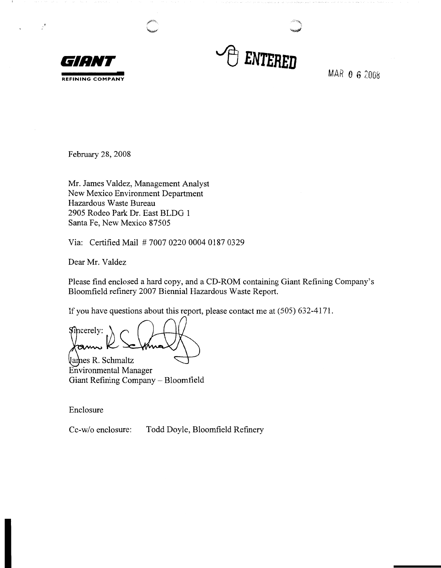



 $\mathbb{R}^3$ 

MAR O 6 2008

February 28, 2008

Mr. James Valdez, Management Analyst New Mexico Environment Department Hazardous Waste Bureau 2905 Rodeo Park Dr. East BLDG 1 Santa Fe, New Mexico 87505

Via: Certified Mail # 7007 0220 0004 0187 0329

Dear Mr. Valdez

Please find enclosed a hard copy, and a CD-ROM containing Giant Refining Company's Bloomfield refinery 2007 Biennial Hazardous Waste Report.

If you have questions about this report, please contact me at (505) 632-4171.

Sincerely: amw

Vames R. Schmaltz Environmental Manager Giant Refining Company - Bloomfield

Enclosure

Cc-w/o enclosure: Todd Doyle, Bloomfield Refinery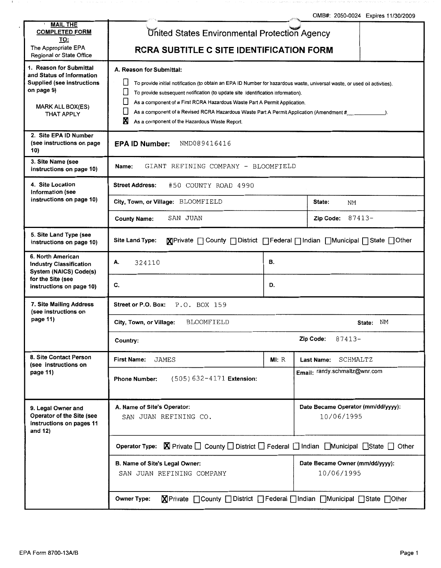.c··,, OMB#: 2050-0024 Expires 11/30/2009

| <b>MAIL THE</b><br><b>COMPLETED FORM</b><br><u>TO:</u>                                                                                                  | United States Environmental Protection Agency                                                                                                                                                                                                                                                                                                                                                                                                                                          |                                                  |                                               |           |  |  |  |  |
|---------------------------------------------------------------------------------------------------------------------------------------------------------|----------------------------------------------------------------------------------------------------------------------------------------------------------------------------------------------------------------------------------------------------------------------------------------------------------------------------------------------------------------------------------------------------------------------------------------------------------------------------------------|--------------------------------------------------|-----------------------------------------------|-----------|--|--|--|--|
| The Appropriate EPA<br>Regional or State Office                                                                                                         | <b>RCRA SUBTITLE C SITE IDENTIFICATION FORM</b>                                                                                                                                                                                                                                                                                                                                                                                                                                        |                                                  |                                               |           |  |  |  |  |
| 1. Reason for Submittal<br>and Status of Information<br><b>Supplied (see instructions</b><br>on page 9)<br><b>MARK ALL BOX(ES)</b><br><b>THAT APPLY</b> | A. Reason for Submittal:<br>To provide initial notification (to obtain an EPA ID Number for hazardous waste, universal waste, or used oil activities).<br>To provide subsequent notification (to update site identification information).<br>As a component of a First RCRA Hazardous Waste Part A Permit Application.<br>As a component of a Revised RCRA Hazardous Waste Part A Permit Application (Amendment #_____________).<br>Ν<br>As a component of the Hazardous Waste Report. |                                                  |                                               |           |  |  |  |  |
| 2. Site EPA ID Number<br>(see instructions on page<br>10)                                                                                               | NMD089416416<br><b>EPA ID Number:</b>                                                                                                                                                                                                                                                                                                                                                                                                                                                  |                                                  |                                               |           |  |  |  |  |
| 3. Site Name (see<br>instructions on page 10)                                                                                                           | GIANT REFINING COMPANY - BLOOMFIELD<br>Name:                                                                                                                                                                                                                                                                                                                                                                                                                                           |                                                  |                                               |           |  |  |  |  |
| 4. Site Location<br><b>Information (see</b>                                                                                                             | #50 COUNTY ROAD 4990<br><b>Street Address:</b>                                                                                                                                                                                                                                                                                                                                                                                                                                         |                                                  |                                               |           |  |  |  |  |
| instructions on page 10)                                                                                                                                | City, Town, or Village: BLOOMFIELD                                                                                                                                                                                                                                                                                                                                                                                                                                                     | State:<br>ΝM                                     |                                               |           |  |  |  |  |
|                                                                                                                                                         | SAN JUAN<br><b>County Name:</b>                                                                                                                                                                                                                                                                                                                                                                                                                                                        |                                                  | Zip Code:                                     | $87413 -$ |  |  |  |  |
| 5. Site Land Type (see<br>instructions on page 10)                                                                                                      | <b>Site Land Type:</b>                                                                                                                                                                                                                                                                                                                                                                                                                                                                 |                                                  |                                               |           |  |  |  |  |
| 6. North American<br><b>Industry Classification</b><br>System (NAICS) Code(s)                                                                           | А.<br>324110                                                                                                                                                                                                                                                                                                                                                                                                                                                                           | В.                                               |                                               |           |  |  |  |  |
| for the Site (see<br>instructions on page 10)                                                                                                           | C.                                                                                                                                                                                                                                                                                                                                                                                                                                                                                     | D.                                               |                                               |           |  |  |  |  |
| 7. Site Mailing Address<br>(see instructions on                                                                                                         | P.O. BOX 159<br>Street or P.O. Box:                                                                                                                                                                                                                                                                                                                                                                                                                                                    |                                                  |                                               |           |  |  |  |  |
| page 11)                                                                                                                                                | ΝM<br><b>BLOOMFIELD</b><br>City, Town, or Village:<br>State:                                                                                                                                                                                                                                                                                                                                                                                                                           |                                                  |                                               |           |  |  |  |  |
|                                                                                                                                                         | Zip Code:<br>87413-<br>Country:                                                                                                                                                                                                                                                                                                                                                                                                                                                        |                                                  |                                               |           |  |  |  |  |
| 8. Site Contact Person<br>(see instructions on                                                                                                          | <b>First Name:</b><br>JAMES                                                                                                                                                                                                                                                                                                                                                                                                                                                            | MI: R                                            | SCHMALTZ<br><b>Last Name:</b>                 |           |  |  |  |  |
| page 11)                                                                                                                                                | $(505) 632 - 4171$ Extension:<br><b>Phone Number:</b>                                                                                                                                                                                                                                                                                                                                                                                                                                  |                                                  | Email: randy.schmaltz@wnr.com                 |           |  |  |  |  |
| 9. Legal Owner and<br>Operator of the Site (see<br>instructions on pages 11<br>and 12)                                                                  | A. Name of Site's Operator:<br>SAN JUAN REFINING CO.                                                                                                                                                                                                                                                                                                                                                                                                                                   | Date Became Operator (mm/dd/yyyy):<br>10/06/1995 |                                               |           |  |  |  |  |
|                                                                                                                                                         | Operator Type: <b>X</b> Private <i>Q</i> County <i>Q</i> District <i>Q</i> Federal <i>Q</i> Indian <i>Q</i> Municipal <i>Q</i> State <i>Q</i> Other                                                                                                                                                                                                                                                                                                                                    |                                                  |                                               |           |  |  |  |  |
|                                                                                                                                                         | B. Name of Site's Legal Owner:<br>SAN JUAN REFINING COMPANY                                                                                                                                                                                                                                                                                                                                                                                                                            |                                                  | Date Became Owner (mm/dd/yyyy):<br>10/06/1995 |           |  |  |  |  |
|                                                                                                                                                         | <b>X</b> Private ncounty noistrict nederal number of Municipal State nother<br><b>Owner Type:</b>                                                                                                                                                                                                                                                                                                                                                                                      |                                                  |                                               |           |  |  |  |  |

- 11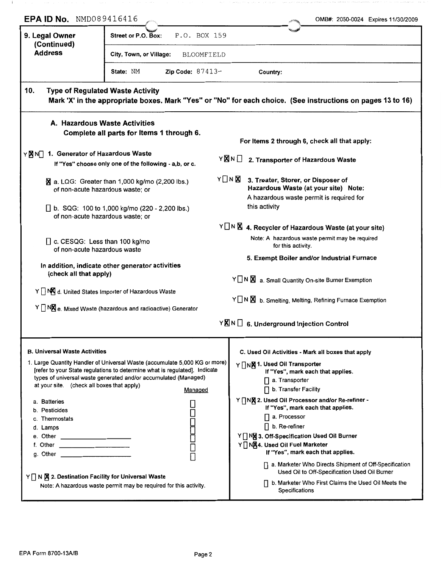| EPA ID No. NMD089416416                                                                                                                           |                                                                                                                                                                                                                                             | OMB#: 2050-0024 Expires 11/30/2009                                                                                                                                                                                                                                                                                                                                                                                                              |
|---------------------------------------------------------------------------------------------------------------------------------------------------|---------------------------------------------------------------------------------------------------------------------------------------------------------------------------------------------------------------------------------------------|-------------------------------------------------------------------------------------------------------------------------------------------------------------------------------------------------------------------------------------------------------------------------------------------------------------------------------------------------------------------------------------------------------------------------------------------------|
| 9. Legal Owner<br>(Continued)                                                                                                                     | P.O. BOX 159<br>Street or P.O. Box:                                                                                                                                                                                                         |                                                                                                                                                                                                                                                                                                                                                                                                                                                 |
| <b>Address</b>                                                                                                                                    | City, Town, or Village:<br>BLOOMFIELD                                                                                                                                                                                                       |                                                                                                                                                                                                                                                                                                                                                                                                                                                 |
|                                                                                                                                                   | <b>Zip Code:</b> $87413-$<br>State: NM                                                                                                                                                                                                      | Country:                                                                                                                                                                                                                                                                                                                                                                                                                                        |
| <b>Type of Regulated Waste Activity</b><br>10.                                                                                                    |                                                                                                                                                                                                                                             | Mark 'X' in the appropriate boxes. Mark "Yes" or "No" for each choice. (See instructions on pages 13 to 16)                                                                                                                                                                                                                                                                                                                                     |
| A. Hazardous Waste Activities                                                                                                                     | Complete all parts for Items 1 through 6.                                                                                                                                                                                                   | For Items 2 through 6, check all that apply:                                                                                                                                                                                                                                                                                                                                                                                                    |
| 1. Generator of Hazardous Waste<br>YMND                                                                                                           | If "Yes" choose only one of the following - a,b, or c.                                                                                                                                                                                      | Y⊠N□<br>2. Transporter of Hazardous Waste                                                                                                                                                                                                                                                                                                                                                                                                       |
| of non-acute hazardous waste; or<br>of non-acute hazardous waste; or                                                                              | $\overline{\mathbb{N}}$ a. LQG: Greater than 1,000 kg/mo (2,200 lbs.)<br>□ b. SQG: 100 to 1,000 kg/mo (220 - 2,200 lbs.)                                                                                                                    | YONX<br>3. Treater, Storer, or Disposer of<br>Hazardous Waste (at your site) Note:<br>A hazardous waste permit is required for<br>this activity                                                                                                                                                                                                                                                                                                 |
| □ c. CESQG: Less than 100 kg/mo<br>of non-acute hazardous waste                                                                                   |                                                                                                                                                                                                                                             | $Y \cap N$ 4. Recycler of Hazardous Waste (at your site)<br>Note: A hazardous waste permit may be required<br>for this activity.                                                                                                                                                                                                                                                                                                                |
| (check all that apply)                                                                                                                            | In addition, indicate other generator activities                                                                                                                                                                                            | 5. Exempt Boiler and/or Industrial Furnace<br>Y N X a. Small Quantity On-site Burner Exemption                                                                                                                                                                                                                                                                                                                                                  |
|                                                                                                                                                   | Y NO d. United States Importer of Hazardous Waste                                                                                                                                                                                           | Y N X b. Smelting, Melting, Refining Furnace Exemption                                                                                                                                                                                                                                                                                                                                                                                          |
|                                                                                                                                                   | $Y \cap N\mathbb{X}$ e. Mixed Waste (hazardous and radioactive) Generator                                                                                                                                                                   | $Y\overline{\mathbb{X}}$ N $\Box$ 6. Underground Injection Control                                                                                                                                                                                                                                                                                                                                                                              |
| <b>B. Universal Waste Activities</b><br>at your site. (check all boxes that apply)<br>a. Batteries<br>b. Pesticides<br>c. Thermostats<br>d. Lamps | 1. Large Quantity Handler of Universal Waste (accumulate 5,000 KG or more)<br>[refer to your State regulations to determine what is regulated]. Indicate<br>types of universal waste generated and/or accumulated (Managed)<br>Managed<br>Ō | C. Used Oil Activities - Mark all boxes that apply<br>Y   NX 1. Used Oil Transporter<br>If "Yes", mark each that applies.<br>$\Box$ a. Transporter<br>$\Box$ b. Transfer Facility<br>Y TNX 2. Used Oil Processor and/or Re-refiner -<br>If "Yes", mark each that applies.<br>$\Box$ a. Processor<br>$\Box$ b. Re-refiner<br>Y   NM 3. Off-Specification Used Oil Burner<br>Y   NX4. Used Oil Fuel Marketer<br>If "Yes", mark each that applies. |
| Y   N   X 2. Destination Facility for Universal Waste                                                                                             | Note: A hazardous waste permit may be required for this activity.                                                                                                                                                                           | □ a. Marketer Who Directs Shipment of Off-Specification<br>Used Oil to Off-Specification Used Oil Burner<br>□ b. Marketer Who First Claims the Used Oil Meets the<br>Specifications                                                                                                                                                                                                                                                             |

 $\cdot$ i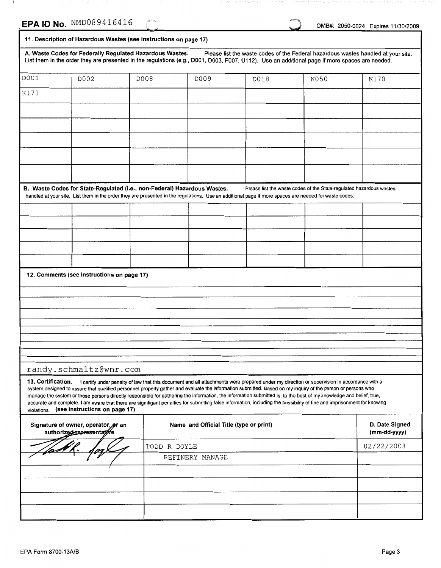- 1

OMB#: 2050-0024 Expires 11/30/2009

|                    | 11. Description of Hazardous Wastes (see instructions on page 17)                                                                                                                                                                                                                                                                 |              |                                         |      |                                                                                                                                            |                                                                                   |
|--------------------|-----------------------------------------------------------------------------------------------------------------------------------------------------------------------------------------------------------------------------------------------------------------------------------------------------------------------------------|--------------|-----------------------------------------|------|--------------------------------------------------------------------------------------------------------------------------------------------|-----------------------------------------------------------------------------------|
|                    | A. Waste Codes for Federally Regulated Hazardous Wastes.<br>List them in the order they are presented in the regulations (e.g., D001, D003, F007, U112). Use an additional page if more spaces are needed.                                                                                                                        |              |                                         |      |                                                                                                                                            | Please list the waste codes of the Federal hazardous wastes handled at your site. |
| D001               | D002                                                                                                                                                                                                                                                                                                                              | D008         | D009                                    | D018 | K050                                                                                                                                       | K170                                                                              |
| K171               |                                                                                                                                                                                                                                                                                                                                   |              |                                         |      |                                                                                                                                            |                                                                                   |
|                    |                                                                                                                                                                                                                                                                                                                                   |              |                                         |      |                                                                                                                                            |                                                                                   |
|                    |                                                                                                                                                                                                                                                                                                                                   |              |                                         |      |                                                                                                                                            |                                                                                   |
|                    |                                                                                                                                                                                                                                                                                                                                   |              |                                         |      |                                                                                                                                            |                                                                                   |
|                    |                                                                                                                                                                                                                                                                                                                                   |              |                                         |      |                                                                                                                                            |                                                                                   |
|                    |                                                                                                                                                                                                                                                                                                                                   |              |                                         |      |                                                                                                                                            |                                                                                   |
|                    |                                                                                                                                                                                                                                                                                                                                   |              |                                         |      |                                                                                                                                            |                                                                                   |
|                    | B. Waste Codes for State-Regulated (i.e., non-Federal) Hazardous Wastes.<br>handled at your site. List them in the order they are presented in the regulations. Use an additional page if more spaces are needed for waste codes.                                                                                                 |              |                                         |      | Please list the waste codes of the State-regulated hazardous wastes                                                                        |                                                                                   |
|                    |                                                                                                                                                                                                                                                                                                                                   |              |                                         |      |                                                                                                                                            |                                                                                   |
|                    |                                                                                                                                                                                                                                                                                                                                   |              |                                         |      |                                                                                                                                            |                                                                                   |
|                    |                                                                                                                                                                                                                                                                                                                                   |              |                                         |      |                                                                                                                                            |                                                                                   |
|                    |                                                                                                                                                                                                                                                                                                                                   |              |                                         |      |                                                                                                                                            |                                                                                   |
|                    |                                                                                                                                                                                                                                                                                                                                   |              |                                         |      |                                                                                                                                            |                                                                                   |
|                    | 12. Comments (see instructions on page 17)                                                                                                                                                                                                                                                                                        |              |                                         |      |                                                                                                                                            |                                                                                   |
|                    |                                                                                                                                                                                                                                                                                                                                   |              |                                         |      |                                                                                                                                            |                                                                                   |
|                    |                                                                                                                                                                                                                                                                                                                                   |              |                                         |      |                                                                                                                                            |                                                                                   |
|                    |                                                                                                                                                                                                                                                                                                                                   |              |                                         |      |                                                                                                                                            |                                                                                   |
|                    |                                                                                                                                                                                                                                                                                                                                   |              |                                         |      |                                                                                                                                            |                                                                                   |
|                    |                                                                                                                                                                                                                                                                                                                                   |              |                                         |      |                                                                                                                                            |                                                                                   |
|                    | randy.schmaltz@wnr.com                                                                                                                                                                                                                                                                                                            |              |                                         |      |                                                                                                                                            |                                                                                   |
| 13. Certification. |                                                                                                                                                                                                                                                                                                                                   |              |                                         |      | I certify under penalty of law that this document and all attachments were prepared under my direction or supervision in accordance with a |                                                                                   |
|                    | system designed to assure that qualified personnel properly gather and evaluate the information submitted. Based on my inquiry of the person or persons who<br>manage the system or those persons directly responsible for gathering the information, the information submitted is, to the best of my knowledge and belief, true, |              |                                         |      |                                                                                                                                            |                                                                                   |
| violations.        | accurate and complete. I am aware that there are signifigant penalties for submitting false information, including the possibility of fine and imprisonment for knowing<br>(see instructions on page 17)                                                                                                                          |              |                                         |      |                                                                                                                                            |                                                                                   |
|                    | Signature of owner, operator, or an<br>authorized tepresentative                                                                                                                                                                                                                                                                  |              | Name and Official Title (type or print) |      |                                                                                                                                            | D. Date Signed<br>(mm-dd-yyyy)                                                    |
|                    |                                                                                                                                                                                                                                                                                                                                   | TODD R DOYLE |                                         |      |                                                                                                                                            | 02/22/2008                                                                        |
|                    |                                                                                                                                                                                                                                                                                                                                   |              | REFINERY MANAGE                         |      |                                                                                                                                            |                                                                                   |
|                    |                                                                                                                                                                                                                                                                                                                                   |              |                                         |      |                                                                                                                                            |                                                                                   |
|                    |                                                                                                                                                                                                                                                                                                                                   |              |                                         |      |                                                                                                                                            |                                                                                   |
|                    |                                                                                                                                                                                                                                                                                                                                   |              |                                         |      |                                                                                                                                            |                                                                                   |
|                    |                                                                                                                                                                                                                                                                                                                                   |              |                                         |      |                                                                                                                                            |                                                                                   |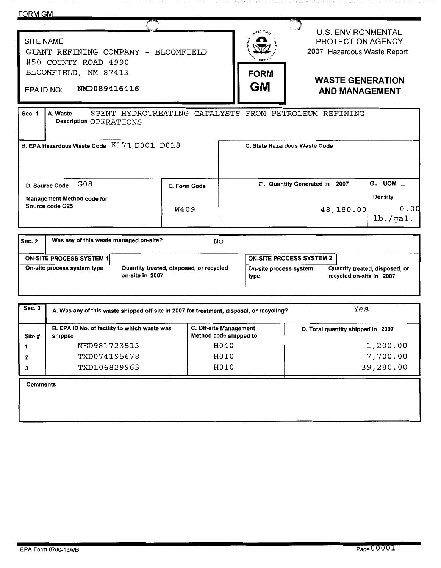| FORM GM                                                                                                                               |                                                                                                                                                                                                                                                                 |                      |                                                                                                       |                                                                          |                                                                                                                                                               |                      |                  |
|---------------------------------------------------------------------------------------------------------------------------------------|-----------------------------------------------------------------------------------------------------------------------------------------------------------------------------------------------------------------------------------------------------------------|----------------------|-------------------------------------------------------------------------------------------------------|--------------------------------------------------------------------------|---------------------------------------------------------------------------------------------------------------------------------------------------------------|----------------------|------------------|
| <b>SITE NAME</b><br>GIANT REFINING COMPANY - BLOOMFIELD<br>#50 COUNTY ROAD 4990<br>BLOOMFIELD, NM 87413<br>NMD089416416<br>EPA ID NO: |                                                                                                                                                                                                                                                                 |                      |                                                                                                       |                                                                          | <b>U.S. ENVIRONMENTAL</b><br>PROTECTION AGENCY<br>2007 Hazardous Waste Report<br><b>FORM</b><br><b>WASTE GENERATION</b><br><b>GM</b><br><b>AND MANAGEMENT</b> |                      |                  |
| Sec. 1<br>A. Waste<br>SPENT HYDROTREATING CATALYSTS FROM PETROLEUM REFINING<br>Description OPERATIONS                                 |                                                                                                                                                                                                                                                                 |                      |                                                                                                       |                                                                          |                                                                                                                                                               |                      |                  |
| B. EPA Hazardous Waste Code K171 D001 D018<br>C. State Hazardous Waste Code                                                           |                                                                                                                                                                                                                                                                 |                      |                                                                                                       |                                                                          |                                                                                                                                                               |                      |                  |
| D. Source Code<br><b>Management Method code for</b><br>Source code G25                                                                | G08                                                                                                                                                                                                                                                             | E. Form Code<br>W409 |                                                                                                       | G. UOM 1<br>F. Quantity Generated in 2007<br><b>Density</b><br>48,180.00 |                                                                                                                                                               |                      | 0.00<br>1b./gal. |
| Sec. 2                                                                                                                                | Was any of this waste managed on-site?                                                                                                                                                                                                                          |                      | No                                                                                                    |                                                                          |                                                                                                                                                               |                      |                  |
|                                                                                                                                       | <b>ON-SITE PROCESS SYSTEM 1</b><br><b>ON-SITE PROCESS SYSTEM 2</b><br>On-site process system type<br>Quantity treated, disposed, or recycled<br>On-site process system<br>Quantity treated, disposed, or<br>on-site in 2007<br>recycled on-site in 2007<br>type |                      |                                                                                                       |                                                                          |                                                                                                                                                               |                      |                  |
| Sec.3                                                                                                                                 | Yes<br>A. Was any of this waste shipped off site in 2007 for treatment, disposal, or recycling?                                                                                                                                                                 |                      |                                                                                                       |                                                                          |                                                                                                                                                               |                      |                  |
| shipped<br>Site #<br>1<br>2                                                                                                           | B. EPA ID No. of facility to which waste was<br>NED981723513<br>TXD074195678                                                                                                                                                                                    |                      | C. Off-site Management<br>D. Total quantity shipped in 2007<br>Method code shipped to<br>H040<br>H010 |                                                                          |                                                                                                                                                               | 1,200.00<br>7,700.00 |                  |
| 3<br><b>Comments</b>                                                                                                                  | 39,280.00<br>TXD106829963<br>H010                                                                                                                                                                                                                               |                      |                                                                                                       |                                                                          |                                                                                                                                                               |                      |                  |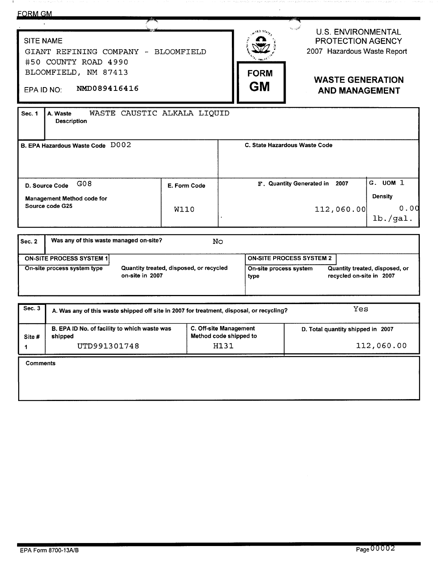| <b>FORM GM</b>                                                                                                                        |                                         |                                |                                                                                                                                   |                                    |
|---------------------------------------------------------------------------------------------------------------------------------------|-----------------------------------------|--------------------------------|-----------------------------------------------------------------------------------------------------------------------------------|------------------------------------|
| <b>SITE NAME</b><br>GIANT REFINING COMPANY - BLOOMFIELD<br>#50 COUNTY ROAD 4990<br>BLOOMFIELD, NM 87413<br>NMD089416416<br>EPA ID NO: |                                         | <b>FORM</b><br><b>GM</b>       | <b>U.S. ENVIRONMENTAL</b><br>PROTECTION AGENCY<br>2007 Hazardous Waste Report<br><b>WASTE GENERATION</b><br><b>AND MANAGEMENT</b> |                                    |
| <b>Sec. 1</b><br>A. Waste<br><b>Description</b>                                                                                       | WASTE CAUSTIC ALKALA LIQUID             |                                |                                                                                                                                   |                                    |
| B. EPA Hazardous Waste Code D002                                                                                                      |                                         |                                | C. State Hazardous Waste Code                                                                                                     |                                    |
| G08<br>D. Source Code                                                                                                                 | E. Form Code                            |                                | F. Quantity Generated in 2007                                                                                                     | G. UOM 1                           |
| <b>Management Method code for</b><br>Source code G25                                                                                  | <b>W110</b>                             |                                | 112,060.00                                                                                                                        | <b>Density</b><br>0.00<br>1b./gal. |
| Was any of this waste managed on-site?<br><b>Sec. 2</b>                                                                               |                                         | No                             |                                                                                                                                   |                                    |
| <b>ON-SITE PROCESS SYSTEM 1</b>                                                                                                       |                                         |                                | <b>ON-SITE PROCESS SYSTEM 2</b>                                                                                                   |                                    |
| On-site process system type<br>on-site in 2007                                                                                        | Quantity treated, disposed, or recycled | On-site process system<br>type | recycled on-site in 2007                                                                                                          | Quantity treated, disposed, or     |
| Sec. 3<br>A. Was any of this waste shipped off site in 2007 for treatment, disposal, or recycling?                                    |                                         |                                | Yes                                                                                                                               |                                    |

| Site #   | B. EPA ID No. of facility to which waste was<br>shipped | C. Off-site Management<br>Method code shipped to | D. Total quantity shipped in 2007 |
|----------|---------------------------------------------------------|--------------------------------------------------|-----------------------------------|
|          | UTD991301748                                            | H131                                             | 112,060.00                        |
| Comments |                                                         |                                                  |                                   |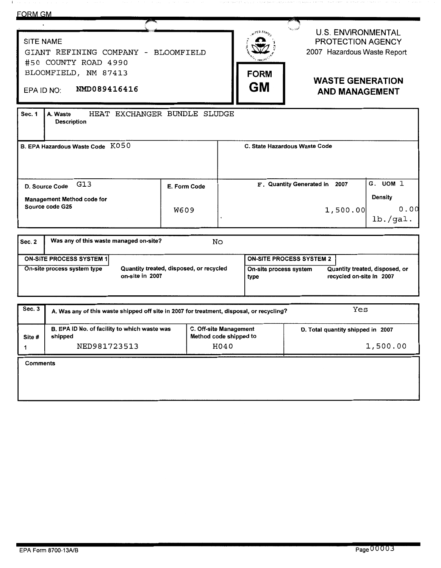| <u>FORM GM</u>                                                       |              |                          |                                                                                      |
|----------------------------------------------------------------------|--------------|--------------------------|--------------------------------------------------------------------------------------|
| <b>SITE NAME</b><br>GIANT REFINING COMPANY -<br>#50 COUNTY ROAD 4990 | BLOOMFIELD   |                          | <b>U.S. ENVIRONMENTAL</b><br><b>PROTECTION AGENCY</b><br>2007 Hazardous Waste Report |
| BLOOMFIELD, NM 87413<br>NMD089416416<br>EPA ID NO:                   |              | <b>FORM</b><br><b>GM</b> | <b>WASTE GENERATION</b><br><b>AND MANAGEMENT</b>                                     |
| Sec. 1<br>HEAT EXCHANGER BUNDLE<br>A. Waste<br><b>Description</b>    | SLUDGE       |                          |                                                                                      |
| B. EPA Hazardous Waste Code K050                                     |              |                          | C. State Hazardous Waste Code                                                        |
| G13<br>D. Source Code<br><b>Management Method code for</b>           | E. Form Code |                          | G. UOM 1<br>2007<br>F. Quantity Generated in<br>Density                              |

| Sec. 2 | Was any of this waste managed on-site? |                                                            | No |                                 |                                                            |
|--------|----------------------------------------|------------------------------------------------------------|----|---------------------------------|------------------------------------------------------------|
|        | <b>ON-SITE PROCESS SYSTEM 1</b>        |                                                            |    | <b>ON-SITE PROCESS SYSTEM 2</b> |                                                            |
|        | On-site process system type            | Quantity treated, disposed, or recycled<br>on-site in 2007 |    | On-site process system<br>type  | Quantity treated, disposed, or<br>recycled on-site in 2007 |

 $\ddot{\phantom{a}}$ 

Source code G25 W609

| Sec. 3   | A. Was any of this waste shipped off site in 2007 for treatment, disposal, or recycling? | Yes                                              |                                   |
|----------|------------------------------------------------------------------------------------------|--------------------------------------------------|-----------------------------------|
| Site #   | B. EPA ID No. of facility to which waste was<br>shipped                                  | C. Off-site Management<br>Method code shipped to | D. Total quantity shipped in 2007 |
|          | NED981723513                                                                             | H040                                             | 1,500.00                          |
| Comments |                                                                                          |                                                  |                                   |

1,500.00 o.oc

lb. /gal.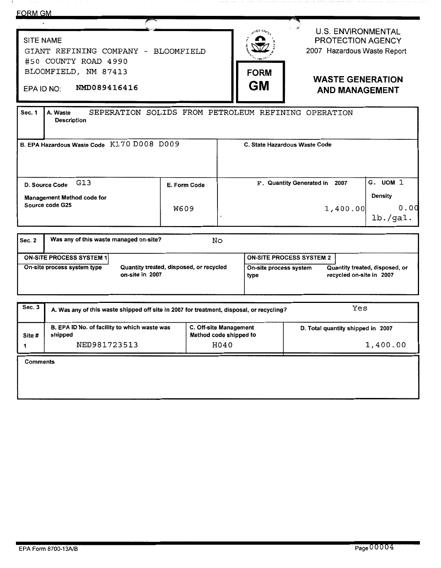| <b>FORM GM</b>                                                                                                                                                                                                                                                                                                                   |                          |                                                          |                                                                                      |                                                |  |
|----------------------------------------------------------------------------------------------------------------------------------------------------------------------------------------------------------------------------------------------------------------------------------------------------------------------------------|--------------------------|----------------------------------------------------------|--------------------------------------------------------------------------------------|------------------------------------------------|--|
| <b>SITE NAME</b><br>GIANT REFINING COMPANY - BLOOMFIELD<br>#50 COUNTY ROAD 4990                                                                                                                                                                                                                                                  |                          |                                                          | <b>U.S. ENVIRONMENTAL</b><br><b>PROTECTION AGENCY</b><br>2007 Hazardous Waste Report |                                                |  |
| BLOOMFIELD, NM 87413<br>NMD089416416<br>EPA ID NO:                                                                                                                                                                                                                                                                               | <b>FORM</b><br><b>GM</b> | <b>WASTE GENERATION</b><br><b>AND MANAGEMENT</b>         |                                                                                      |                                                |  |
| A. Waste<br><b>Sec. 1</b><br><b>Description</b>                                                                                                                                                                                                                                                                                  |                          |                                                          | SEPERATION SOLIDS FROM PETROLEUM REFINING OPERATION                                  |                                                |  |
| B. EPA Hazardous Waste Code K170 D008 D009                                                                                                                                                                                                                                                                                       |                          | C. State Hazardous Waste Code                            |                                                                                      |                                                |  |
| G13<br>D. Source Code<br>Management Method code for<br>Source code G25                                                                                                                                                                                                                                                           | E. Form Code<br>W609     |                                                          | F. Quantity Generated in 2007<br>1,400.00                                            | G. UOM 1<br><b>Density</b><br>0.00<br>1b./gal. |  |
| Was any of this waste managed on-site?<br>No<br><b>Sec. 2</b><br><b>ON-SITE PROCESS SYSTEM 2</b><br><b>ON-SITE PROCESS SYSTEM 1</b><br>On-site process system type<br>Quantity treated, disposed, or recycled<br>Quantity treated, disposed, or<br>On-site process system<br>on-site in 2007<br>recycled on-site in 2007<br>type |                          |                                                          |                                                                                      |                                                |  |
| Sec. 3<br>A. Was any of this waste shipped off site in 2007 for treatment, disposal, or recycling?                                                                                                                                                                                                                               |                          |                                                          | Yes                                                                                  |                                                |  |
| B. EPA ID No. of facility to which waste was<br>shipped<br>Site #<br>NED981723513<br>1                                                                                                                                                                                                                                           |                          | C. Off-site Management<br>Method code shipped to<br>H040 | D. Total quantity shipped in 2007<br>1,400.00                                        |                                                |  |
| <b>Comments</b>                                                                                                                                                                                                                                                                                                                  |                          |                                                          |                                                                                      |                                                |  |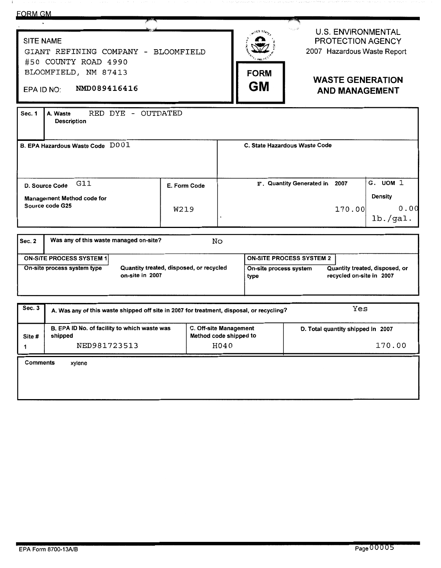| <b>FORM GM</b>                                                                                                                                                                                                                                                  |                                              |              |                          |                                                                                                         |                               |                                                                                                                                   |                                                |
|-----------------------------------------------------------------------------------------------------------------------------------------------------------------------------------------------------------------------------------------------------------------|----------------------------------------------|--------------|--------------------------|---------------------------------------------------------------------------------------------------------|-------------------------------|-----------------------------------------------------------------------------------------------------------------------------------|------------------------------------------------|
| <b>SITE NAME</b><br>GIANT REFINING COMPANY - BLOOMFIELD<br>#50 COUNTY ROAD 4990<br>BLOOMFIELD, NM 87413<br>NMD089416416<br>EPA ID NO:                                                                                                                           |                                              |              | <b>FORM</b><br><b>GM</b> |                                                                                                         |                               | <b>U.S. ENVIRONMENTAL</b><br>PROTECTION AGENCY<br>2007 Hazardous Waste Report<br><b>WASTE GENERATION</b><br><b>AND MANAGEMENT</b> |                                                |
| RED DYE - OUTDATED<br>A. Waste<br>Sec. 1<br><b>Description</b>                                                                                                                                                                                                  |                                              |              |                          |                                                                                                         |                               |                                                                                                                                   |                                                |
| B. EPA Hazardous Waste Code D001                                                                                                                                                                                                                                |                                              |              |                          |                                                                                                         | C. State Hazardous Waste Code |                                                                                                                                   |                                                |
| G11<br>D. Source Code<br><b>Management Method code for</b><br>Source code G25                                                                                                                                                                                   | W219                                         | E. Form Code |                          |                                                                                                         | F. Quantity Generated in      | 2007<br>170.00                                                                                                                    | G. UOM 1<br><b>Density</b><br>0.00<br>lb./gal. |
| Was any of this waste managed on-site?<br>Sec. $2$                                                                                                                                                                                                              |                                              | <b>No</b>    |                          |                                                                                                         |                               |                                                                                                                                   |                                                |
| <b>ON-SITE PROCESS SYSTEM 2</b><br><b>ON-SITE PROCESS SYSTEM 1</b><br>On-site process system type<br>Quantity treated, disposed, or recycled<br>On-site process system<br>Quantity treated, disposed, or<br>on-site in 2007<br>recycled on-site in 2007<br>type |                                              |              |                          |                                                                                                         |                               |                                                                                                                                   |                                                |
| Sec. 3<br>A. Was any of this waste shipped off site in 2007 for treatment, disposal, or recycling?                                                                                                                                                              |                                              |              |                          |                                                                                                         |                               | Yes                                                                                                                               |                                                |
| shipped<br>Site #<br>NED981723513<br>1                                                                                                                                                                                                                          | B. EPA ID No. of facility to which waste was |              |                          | C. Off-site Management<br>D. Total quantity shipped in 2007<br>Method code shipped to<br>170.00<br>H040 |                               |                                                                                                                                   |                                                |
| <b>Comments</b><br>xylene                                                                                                                                                                                                                                       |                                              |              |                          |                                                                                                         |                               |                                                                                                                                   |                                                |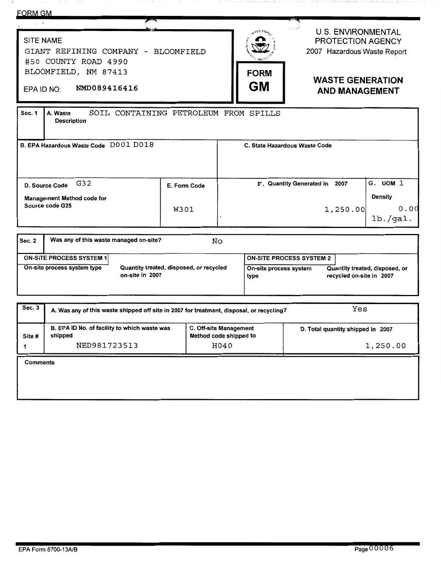| <b>FORM GM</b>                                                                                                               |              |  |                                                                                                                                 |                                                                                      |                                    |
|------------------------------------------------------------------------------------------------------------------------------|--------------|--|---------------------------------------------------------------------------------------------------------------------------------|--------------------------------------------------------------------------------------|------------------------------------|
| <b>SITE NAME</b><br>GIANT REFINING COMPANY - BLOOMFIELD<br>#50 COUNTY ROAD 4990                                              |              |  |                                                                                                                                 | <b>U.S. ENVIRONMENTAL</b><br><b>PROTECTION AGENCY</b><br>2007 Hazardous Waste Report |                                    |
| BLOOMFIELD, NM 87413<br>NMD089416416<br>EPA ID NO:                                                                           |              |  | <b>FORM</b><br><b>GM</b>                                                                                                        | <b>WASTE GENERATION</b><br><b>AND MANAGEMENT</b>                                     |                                    |
| SOIL CONTAINING PETROLEUM FROM SPILLS<br><b>Sec. 1</b><br>A. Waste<br><b>Description</b>                                     |              |  |                                                                                                                                 |                                                                                      |                                    |
| B. EPA Hazardous Waste Code D001 D018                                                                                        |              |  |                                                                                                                                 | C. State Hazardous Waste Code                                                        |                                    |
| G32<br>D. Source Code                                                                                                        | E. Form Code |  |                                                                                                                                 | F. Quantity Generated in 2007                                                        | G. UOM 1                           |
| <b>Management Method code for</b><br>Source code G25                                                                         | <b>W301</b>  |  |                                                                                                                                 | 1,250.00                                                                             | <b>Density</b><br>0.00<br>1b./gal. |
| Was any of this waste managed on-site?<br>Sec. 2                                                                             | No           |  |                                                                                                                                 |                                                                                      |                                    |
| <b>ON-SITE PROCESS SYSTEM 1</b><br>Quantity treated, disposed, or recycled<br>On-site process system type<br>on-site in 2007 |              |  | <b>ON-SITE PROCESS SYSTEM 2</b><br>Quantity treated, disposed, or<br>On-site process system<br>recycled on-site in 2007<br>type |                                                                                      |                                    |
|                                                                                                                              |              |  |                                                                                                                                 |                                                                                      |                                    |

| Sec. 3 | A. Was any of this waste shipped off site in 2007 for treatment, disposal, or recycling? | Yes                                                     |                                   |  |
|--------|------------------------------------------------------------------------------------------|---------------------------------------------------------|-----------------------------------|--|
| Site # | B. EPA ID No. of facility to which waste was<br>shipped                                  | <b>C. Off-site Management</b><br>Method code shipped to | D. Total quantity shipped in 2007 |  |
|        | NED981723513                                                                             | H040                                                    | 1,250.00                          |  |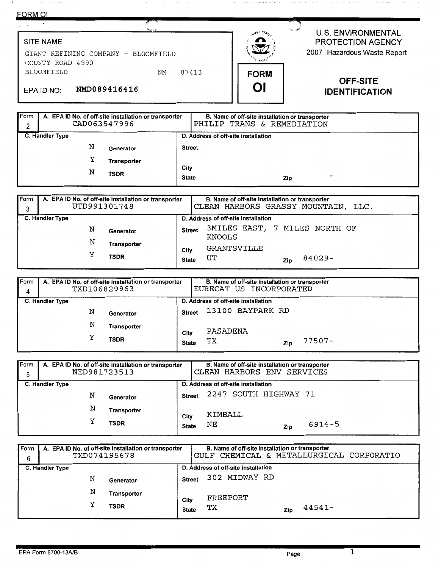## **FORM OL**

## $\bar{\phantom{a}}$ U.S. ENVIRONMENTAL SITE NAME PROTECTION AGENCY SITE NAME<br>GIANT REFINING COMPANY – BLOOMFIELD<br>COUNTY ROAD 4990<br>BLOOMFIELD MM 87413 2007 Hazardous Waste Report GIANT REFINING COMPANY - BLOOMFIELD COUNTY ROAD 4990<br>BLOOMFIELD EPAID NO: NMD089416416<br>
EPAID NO: NMD089416416 **OI IDENTIFICATION**

| Form<br>2 |                                | A. EPA ID No. of off-site installation or transporter<br>CAD063547996 |                      | B. Name of off-site installation or transporter<br>PHILIP TRANS & REMEDIATION |
|-----------|--------------------------------|-----------------------------------------------------------------------|----------------------|-------------------------------------------------------------------------------|
|           | C. Handler Type<br>N<br>v<br>N | Generator<br><b>Transporter</b><br><b>TSDR</b>                        | City<br><b>State</b> | D. Address of off-site installation<br><b>Street</b><br>-<br>Zip              |

| Form<br>A. EPA ID No. of off-site installation or transporter<br>UTD991301748<br>3 |                  |             |                      | B. Name of off-site installation or transporter<br>CLEAN HARBORS GRASSY MOUNTAIN, LLC. |  |  |  |  |
|------------------------------------------------------------------------------------|------------------|-------------|----------------------|----------------------------------------------------------------------------------------|--|--|--|--|
|                                                                                    | C. Handler Type  |             |                      | D. Address of off-site installation                                                    |  |  |  |  |
|                                                                                    | Ν<br>Generator   |             |                      | 3MILES EAST, 7 MILES NORTH OF<br><b>Street</b>                                         |  |  |  |  |
|                                                                                    | N<br>Transporter |             |                      | KNOOLS                                                                                 |  |  |  |  |
|                                                                                    | v                | <b>TSDR</b> | City<br><b>State</b> | GRANTSVILLE<br>84029-<br>UT<br>Zip                                                     |  |  |  |  |

| Form<br>4 |                 | A. EPA ID No. of off-site installation or transporter<br>TXD106829963 |                      | EURECAT US INCORPORATED             | B. Name of off-site installation or transporter |        |  |
|-----------|-----------------|-----------------------------------------------------------------------|----------------------|-------------------------------------|-------------------------------------------------|--------|--|
|           | C. Handler Type |                                                                       |                      | D. Address of off-site installation |                                                 |        |  |
|           | N               | Generator                                                             | <b>Street</b>        |                                     | 13100 BAYPARK RD                                |        |  |
|           |                 | N<br>Transporter                                                      |                      | PASADENA                            |                                                 |        |  |
|           |                 | v<br><b>TSDR</b>                                                      | City<br><b>State</b> | TХ                                  | Zip                                             | 77507- |  |

| Form<br>5 | A. EPA ID No. of off-site installation or transporter<br>NED981723513 |                            |                                                                               | B. Name of off-site installation or transporter<br>CLEAN HARBORS ENV SERVICES |     |        |  |
|-----------|-----------------------------------------------------------------------|----------------------------|-------------------------------------------------------------------------------|-------------------------------------------------------------------------------|-----|--------|--|
|           | C. Handler Type<br>N<br>Generator                                     |                            | D. Address of off-site installation<br>2247 SOUTH HIGHWAY 71<br><b>Street</b> |                                                                               |     |        |  |
|           | N<br>v                                                                | Transporter<br><b>TSDR</b> | City<br><b>State</b>                                                          | KIMBALL<br>NΕ                                                                 | Zip | 6914-5 |  |

| Form              |                 |  |   | A. EPA ID No. of off-site installation or transporter |               |    | B. Name of off-site installation or transporter |     |        |  |
|-------------------|-----------------|--|---|-------------------------------------------------------|---------------|----|-------------------------------------------------|-----|--------|--|
| TXD074195678<br>6 |                 |  |   |                                                       |               |    | GULF CHEMICAL & METALLURGICAL CORPORATIO        |     |        |  |
|                   | C. Handler Type |  |   |                                                       |               |    | D. Address of off-site installation             |     |        |  |
|                   |                 |  | N | Generator                                             | <b>Street</b> |    | 302 MIDWAY RD                                   |     |        |  |
|                   |                 |  |   |                                                       |               |    |                                                 |     |        |  |
|                   |                 |  | N | Transporter                                           |               |    | FREEPORT                                        |     |        |  |
|                   |                 |  | v | <b>TSDR</b>                                           | City          |    |                                                 |     |        |  |
|                   |                 |  |   |                                                       | <b>State</b>  | TХ |                                                 | Zip | 44541- |  |
|                   |                 |  |   |                                                       |               |    |                                                 |     |        |  |